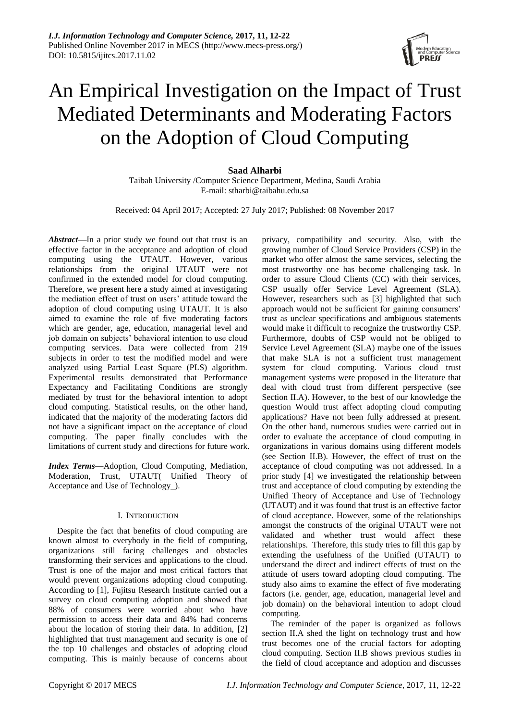# An Empirical Investigation on the Impact of Trust Mediated Determinants and Moderating Factors on the Adoption of Cloud Computing

**Saad Alharbi** Taibah University /Computer Science Department, Medina, Saudi Arabia E-mail: stharbi@taibahu.edu.sa

Received: 04 April 2017; Accepted: 27 July 2017; Published: 08 November 2017

*Abstract***—**In a prior study we found out that trust is an effective factor in the acceptance and adoption of cloud computing using the UTAUT. However, various relationships from the original UTAUT were not confirmed in the extended model for cloud computing. Therefore, we present here a study aimed at investigating the mediation effect of trust on users' attitude toward the adoption of cloud computing using UTAUT. It is also aimed to examine the role of five moderating factors which are gender, age, education, managerial level and job domain on subjects' behavioral intention to use cloud computing services. Data were collected from 219 subjects in order to test the modified model and were analyzed using Partial Least Square (PLS) algorithm. Experimental results demonstrated that Performance Expectancy and Facilitating Conditions are strongly mediated by trust for the behavioral intention to adopt cloud computing. Statistical results, on the other hand, indicated that the majority of the moderating factors did not have a significant impact on the acceptance of cloud computing. The paper finally concludes with the limitations of current study and directions for future work.

*Index Terms***—**Adoption, Cloud Computing, Mediation, Moderation, Trust, UTAUT( Unified Theory of Acceptance and Use of Technology\_).

# I. INTRODUCTION

Despite the fact that benefits of cloud computing are known almost to everybody in the field of computing, organizations still facing challenges and obstacles transforming their services and applications to the cloud. Trust is one of the major and most critical factors that would prevent organizations adopting cloud computing. According to [1], Fujitsu Research Institute carried out a survey on cloud computing adoption and showed that 88% of consumers were worried about who have permission to access their data and 84% had concerns about the location of storing their data. In addition, [2] highlighted that trust management and security is one of the top 10 challenges and obstacles of adopting cloud computing. This is mainly because of concerns about privacy, compatibility and security. Also, with the growing number of Cloud Service Providers (CSP) in the market who offer almost the same services, selecting the most trustworthy one has become challenging task. In order to assure Cloud Clients (CC) with their services, CSP usually offer Service Level Agreement (SLA). However, researchers such as [3] highlighted that such approach would not be sufficient for gaining consumers' trust as unclear specifications and ambiguous statements would make it difficult to recognize the trustworthy CSP. Furthermore, doubts of CSP would not be obliged to Service Level Agreement (SLA) maybe one of the issues that make SLA is not a sufficient trust management system for cloud computing. Various cloud trust management systems were proposed in the literature that deal with cloud trust from different perspective (see Section II.A). However, to the best of our knowledge the question Would trust affect adopting cloud computing applications? Have not been fully addressed at present. On the other hand, numerous studies were carried out in order to evaluate the acceptance of cloud computing in organizations in various domains using different models (see Section II.B). However, the effect of trust on the acceptance of cloud computing was not addressed. In a prior study [4] we investigated the relationship between trust and acceptance of cloud computing by extending the Unified Theory of Acceptance and Use of Technology (UTAUT) and it was found that trust is an effective factor of cloud acceptance. However, some of the relationships amongst the constructs of the original UTAUT were not validated and whether trust would affect these relationships. Therefore, this study tries to fill this gap by extending the usefulness of the Unified (UTAUT) to understand the direct and indirect effects of trust on the attitude of users toward adopting cloud computing. The study also aims to examine the effect of five moderating factors (i.e. gender, age, education, managerial level and job domain) on the behavioral intention to adopt cloud computing.

The reminder of the paper is organized as follows section II.A shed the light on technology trust and how trust becomes one of the crucial factors for adopting cloud computing. Section II.B shows previous studies in the field of cloud acceptance and adoption and discusses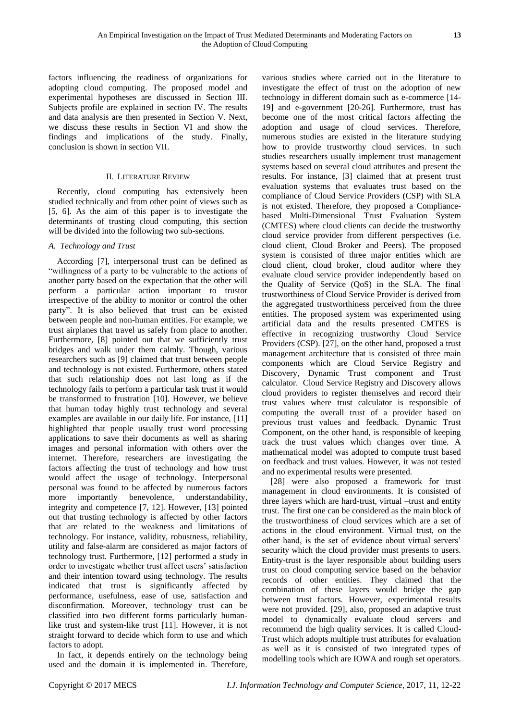factors influencing the readiness of organizations for adopting cloud computing. The proposed model and experimental hypotheses are discussed in Section III. Subjects profile are explained in section IV. The results and data analysis are then presented in Section V. Next, we discuss these results in Section VI and show the findings and implications of the study. Finally, conclusion is shown in section VII.

# II. LITERATURE REVIEW

Recently, cloud computing has extensively been studied technically and from other point of views such as [5, 6]. As the aim of this paper is to investigate the determinants of trusting cloud computing, this section will be divided into the following two sub-sections.

# *A. Technology and Trust*

According [7], interpersonal trust can be defined as "willingness of a party to be vulnerable to the actions of another party based on the expectation that the other will perform a particular action important to trustor irrespective of the ability to monitor or control the other party". It is also believed that trust can be existed between people and non-human entities. For example, we trust airplanes that travel us safely from place to another. Furthermore, [8] pointed out that we sufficiently trust bridges and walk under them calmly. Though, various researchers such as [9] claimed that trust between people and technology is not existed. Furthermore, others stated that such relationship does not last long as if the technology fails to perform a particular task trust it would be transformed to frustration [10]. However, we believe that human today highly trust technology and several examples are available in our daily life. For instance, [11] highlighted that people usually trust word processing applications to save their documents as well as sharing images and personal information with others over the internet. Therefore, researchers are investigating the factors affecting the trust of technology and how trust would affect the usage of technology. Interpersonal personal was found to be affected by numerous factors more importantly benevolence, understandability, integrity and competence [7, 12]. However, [13] pointed out that trusting technology is affected by other factors that are related to the weakness and limitations of technology. For instance, validity, robustness, reliability, utility and false-alarm are considered as major factors of technology trust. Furthermore, [12] performed a study in order to investigate whether trust affect users' satisfaction and their intention toward using technology. The results indicated that trust is significantly affected by performance, usefulness, ease of use, satisfaction and disconfirmation. Moreover, technology trust can be classified into two different forms particularly humanlike trust and system-like trust [11]. However, it is not straight forward to decide which form to use and which factors to adopt.

In fact, it depends entirely on the technology being used and the domain it is implemented in. Therefore,

various studies where carried out in the literature to investigate the effect of trust on the adoption of new technology in different domain such as e-commerce [14- 19] and e-government [20-26]. Furthermore, trust has become one of the most critical factors affecting the adoption and usage of cloud services. Therefore, numerous studies are existed in the literature studying how to provide trustworthy cloud services. In such studies researchers usually implement trust management systems based on several cloud attributes and present the results. For instance, [3] claimed that at present trust evaluation systems that evaluates trust based on the compliance of Cloud Service Providers (CSP) with SLA is not existed. Therefore, they proposed a Compliancebased Multi-Dimensional Trust Evaluation System (CMTES) where cloud clients can decide the trustworthy cloud service provider from different perspectives (i.e. cloud client, Cloud Broker and Peers). The proposed system is consisted of three major entities which are cloud client, cloud broker, cloud auditor where they evaluate cloud service provider independently based on the Quality of Service (QoS) in the SLA. The final trustworthiness of Cloud Service Provider is derived from the aggregated trustworthiness perceived from the three entities. The proposed system was experimented using artificial data and the results presented CMTES is effective in recognizing trustworthy Cloud Service Providers (CSP). [27], on the other hand, proposed a trust management architecture that is consisted of three main components which are Cloud Service Registry and Discovery, Dynamic Trust component and Trust calculator. Cloud Service Registry and Discovery allows cloud providers to register themselves and record their trust values where trust calculator is responsible of computing the overall trust of a provider based on previous trust values and feedback. Dynamic Trust Component, on the other hand, is responsible of keeping track the trust values which changes over time. A mathematical model was adopted to compute trust based on feedback and trust values. However, it was not tested and no experimental results were presented.

[28] were also proposed a framework for trust management in cloud environments. It is consisted of three layers which are hard-trust, virtual –trust and entity trust. The first one can be considered as the main block of the trustworthiness of cloud services which are a set of actions in the cloud environment. Virtual trust, on the other hand, is the set of evidence about virtual servers' security which the cloud provider must presents to users. Entity-trust is the layer responsible about building users trust on cloud computing service based on the behavior records of other entities. They claimed that the combination of these layers would bridge the gap between trust factors. However, experimental results were not provided. [29], also, proposed an adaptive trust model to dynamically evaluate cloud servers and recommend the high quality services. It is called Cloud-Trust which adopts multiple trust attributes for evaluation as well as it is consisted of two integrated types of modelling tools which are IOWA and rough set operators.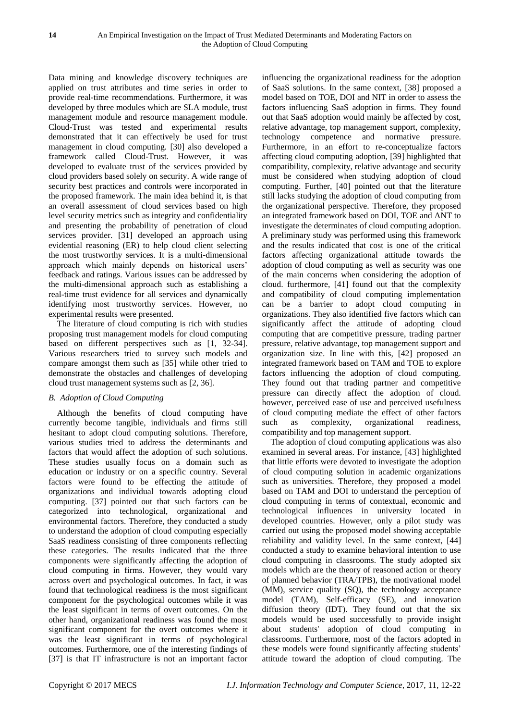Data mining and knowledge discovery techniques are applied on trust attributes and time series in order to provide real-time recommendations. Furthermore, it was developed by three modules which are SLA module, trust management module and resource management module. Cloud-Trust was tested and experimental results demonstrated that it can effectively be used for trust management in cloud computing. [30] also developed a framework called Cloud-Trust. However, it was developed to evaluate trust of the services provided by cloud providers based solely on security. A wide range of security best practices and controls were incorporated in the proposed framework. The main idea behind it, is that an overall assessment of cloud services based on high level security metrics such as integrity and confidentiality and presenting the probability of penetration of cloud services provider. [31] developed an approach using evidential reasoning (ER) to help cloud client selecting the most trustworthy services. It is a multi-dimensional approach which mainly depends on historical users' feedback and ratings. Various issues can be addressed by the multi-dimensional approach such as establishing a real-time trust evidence for all services and dynamically identifying most trustworthy services. However, no experimental results were presented.

The literature of cloud computing is rich with studies proposing trust management models for cloud computing based on different perspectives such as [1, 32-34]. Various researchers tried to survey such models and compare amongst them such as [35] while other tried to demonstrate the obstacles and challenges of developing cloud trust management systems such as [2, 36].

# *B. Adoption of Cloud Computing*

Although the benefits of cloud computing have currently become tangible, individuals and firms still hesitant to adopt cloud computing solutions. Therefore, various studies tried to address the determinants and factors that would affect the adoption of such solutions. These studies usually focus on a domain such as education or industry or on a specific country. Several factors were found to be effecting the attitude of organizations and individual towards adopting cloud computing. [37] pointed out that such factors can be categorized into technological, organizational and environmental factors. Therefore, they conducted a study to understand the adoption of cloud computing especially SaaS readiness consisting of three components reflecting these categories. The results indicated that the three components were significantly affecting the adoption of cloud computing in firms. However, they would vary across overt and psychological outcomes. In fact, it was found that technological readiness is the most significant component for the psychological outcomes while it was the least significant in terms of overt outcomes. On the other hand, organizational readiness was found the most significant component for the overt outcomes where it was the least significant in terms of psychological outcomes. Furthermore, one of the interesting findings of [37] is that IT infrastructure is not an important factor

influencing the organizational readiness for the adoption of SaaS solutions. In the same context, [38] proposed a model based on TOE, DOI and NIT in order to assess the factors influencing SaaS adoption in firms. They found out that SaaS adoption would mainly be affected by cost, relative advantage, top management support, complexity, technology competence and normative pressure. Furthermore, in an effort to re-conceptualize factors affecting cloud computing adoption, [39] highlighted that compatibility, complexity, relative advantage and security must be considered when studying adoption of cloud computing. Further, [40] pointed out that the literature still lacks studying the adoption of cloud computing from the organizational perspective. Therefore, they proposed an integrated framework based on DOI, TOE and ANT to investigate the determinates of cloud computing adoption. A preliminary study was performed using this framework and the results indicated that cost is one of the critical factors affecting organizational attitude towards the adoption of cloud computing as well as security was one of the main concerns when considering the adoption of cloud. furthermore, [41] found out that the complexity and compatibility of cloud computing implementation can be a barrier to adopt cloud computing in organizations. They also identified five factors which can significantly affect the attitude of adopting cloud computing that are competitive pressure, trading partner pressure, relative advantage, top management support and organization size. In line with this, [42] proposed an integrated framework based on TAM and TOE to explore factors influencing the adoption of cloud computing. They found out that trading partner and competitive pressure can directly affect the adoption of cloud. however, perceived ease of use and perceived usefulness of cloud computing mediate the effect of other factors such as complexity, organizational readiness, compatibility and top management support.

The adoption of cloud computing applications was also examined in several areas. For instance, [43] highlighted that little efforts were devoted to investigate the adoption of cloud computing solution in academic organizations such as universities. Therefore, they proposed a model based on TAM and DOI to understand the perception of cloud computing in terms of contextual, economic and technological influences in university located in developed countries. However, only a pilot study was carried out using the proposed model showing acceptable reliability and validity level. In the same context, [44] conducted a study to examine behavioral intention to use cloud computing in classrooms. The study adopted six models which are the theory of reasoned action or theory of planned behavior (TRA/TPB), the motivational model (MM), service quality (SQ), the technology acceptance model (TAM), Self-efficacy (SE), and innovation diffusion theory (IDT). They found out that the six models would be used successfully to provide insight about students' adoption of cloud computing in classrooms. Furthermore, most of the factors adopted in these models were found significantly affecting students' attitude toward the adoption of cloud computing. The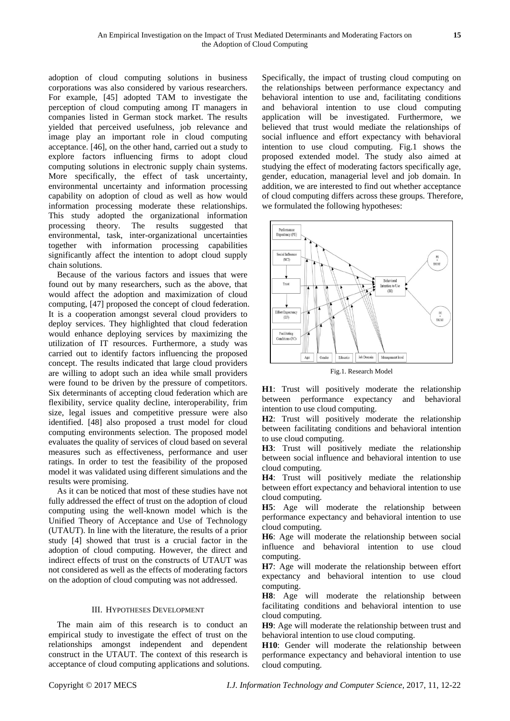adoption of cloud computing solutions in business corporations was also considered by various researchers. For example, [45] adopted TAM to investigate the perception of cloud computing among IT managers in companies listed in German stock market. The results yielded that perceived usefulness, job relevance and image play an important role in cloud computing acceptance. [46], on the other hand, carried out a study to explore factors influencing firms to adopt cloud computing solutions in electronic supply chain systems. More specifically, the effect of task uncertainty, environmental uncertainty and information processing capability on adoption of cloud as well as how would information processing moderate these relationships. This study adopted the organizational information processing theory. The results suggested that environmental, task, inter-organizational uncertainties together with information processing capabilities significantly affect the intention to adopt cloud supply chain solutions.

Because of the various factors and issues that were found out by many researchers, such as the above, that would affect the adoption and maximization of cloud computing, [47] proposed the concept of cloud federation. It is a cooperation amongst several cloud providers to deploy services. They highlighted that cloud federation would enhance deploying services by maximizing the utilization of IT resources. Furthermore, a study was carried out to identify factors influencing the proposed concept. The results indicated that large cloud providers are willing to adopt such an idea while small providers were found to be driven by the pressure of competitors. Six determinants of accepting cloud federation which are flexibility, service quality decline, interoperability, frim size, legal issues and competitive pressure were also identified. [48] also proposed a trust model for cloud computing environments selection. The proposed model evaluates the quality of services of cloud based on several measures such as effectiveness, performance and user ratings. In order to test the feasibility of the proposed model it was validated using different simulations and the results were promising.

As it can be noticed that most of these studies have not fully addressed the effect of trust on the adoption of cloud computing using the well-known model which is the Unified Theory of Acceptance and Use of Technology (UTAUT). In line with the literature, the results of a prior study [4] showed that trust is a crucial factor in the adoption of cloud computing. However, the direct and indirect effects of trust on the constructs of UTAUT was not considered as well as the effects of moderating factors on the adoption of cloud computing was not addressed.

# III. HYPOTHESES DEVELOPMENT

The main aim of this research is to conduct an empirical study to investigate the effect of trust on the relationships amongst independent and dependent construct in the UTAUT. The context of this research is acceptance of cloud computing applications and solutions. Specifically, the impact of trusting cloud computing on the relationships between performance expectancy and behavioral intention to use and, facilitating conditions and behavioral intention to use cloud computing application will be investigated. Furthermore, we believed that trust would mediate the relationships of social influence and effort expectancy with behavioral intention to use cloud computing. Fig.1 shows the proposed extended model. The study also aimed at studying the effect of moderating factors specifically age, gender, education, managerial level and job domain. In addition, we are interested to find out whether acceptance of cloud computing differs across these groups. Therefore, we formulated the following hypotheses:



Fig.1. Research Model

**H1**: Trust will positively moderate the relationship between performance expectancy and behavioral intention to use cloud computing.

**H2**: Trust will positively moderate the relationship between facilitating conditions and behavioral intention to use cloud computing.

**H3**: Trust will positively mediate the relationship between social influence and behavioral intention to use cloud computing.

**H4**: Trust will positively mediate the relationship between effort expectancy and behavioral intention to use cloud computing.

**H5**: Age will moderate the relationship between performance expectancy and behavioral intention to use cloud computing.

**H6**: Age will moderate the relationship between social influence and behavioral intention to use cloud computing.

**H7**: Age will moderate the relationship between effort expectancy and behavioral intention to use cloud computing.

**H8**: Age will moderate the relationship between facilitating conditions and behavioral intention to use cloud computing.

**H9**: Age will moderate the relationship between trust and behavioral intention to use cloud computing.

**H10**: Gender will moderate the relationship between performance expectancy and behavioral intention to use cloud computing.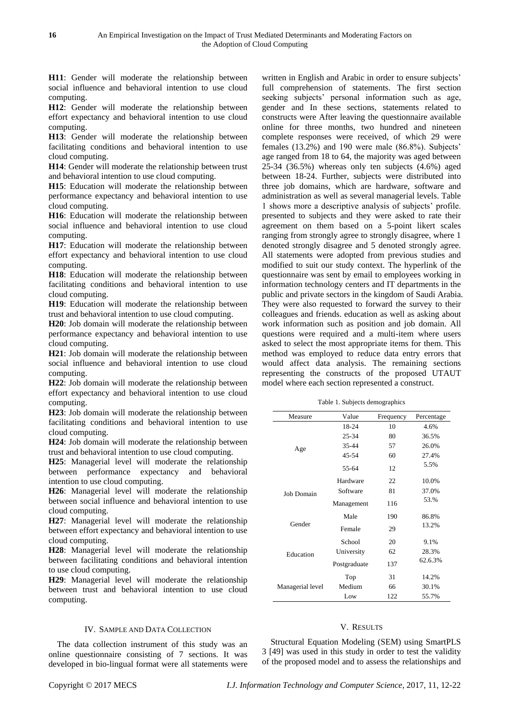**H11**: Gender will moderate the relationship between social influence and behavioral intention to use cloud computing.

**H12**: Gender will moderate the relationship between effort expectancy and behavioral intention to use cloud computing.

**H13**: Gender will moderate the relationship between facilitating conditions and behavioral intention to use cloud computing.

**H14**: Gender will moderate the relationship between trust and behavioral intention to use cloud computing.

**H15**: Education will moderate the relationship between performance expectancy and behavioral intention to use cloud computing.

**H16**: Education will moderate the relationship between social influence and behavioral intention to use cloud computing.

**H17**: Education will moderate the relationship between effort expectancy and behavioral intention to use cloud computing.

**H18**: Education will moderate the relationship between facilitating conditions and behavioral intention to use cloud computing.

**H19**: Education will moderate the relationship between trust and behavioral intention to use cloud computing.

**H20**: Job domain will moderate the relationship between performance expectancy and behavioral intention to use cloud computing.

**H21**: Job domain will moderate the relationship between social influence and behavioral intention to use cloud computing.

**H22**: Job domain will moderate the relationship between effort expectancy and behavioral intention to use cloud computing.

**H23**: Job domain will moderate the relationship between facilitating conditions and behavioral intention to use cloud computing.

**H24**: Job domain will moderate the relationship between trust and behavioral intention to use cloud computing.

**H25**: Managerial level will moderate the relationship between performance expectancy and behavioral intention to use cloud computing.

**H26**: Managerial level will moderate the relationship between social influence and behavioral intention to use cloud computing.

**H27**: Managerial level will moderate the relationship between effort expectancy and behavioral intention to use cloud computing.

**H28**: Managerial level will moderate the relationship between facilitating conditions and behavioral intention to use cloud computing.

**H29**: Managerial level will moderate the relationship between trust and behavioral intention to use cloud computing.

#### IV. SAMPLE AND DATA COLLECTION

The data collection instrument of this study was an online questionnaire consisting of 7 sections. It was developed in bio-lingual format were all statements were

written in English and Arabic in order to ensure subjects' full comprehension of statements. The first section seeking subjects' personal information such as age, gender and In these sections, statements related to constructs were After leaving the questionnaire available online for three months, two hundred and nineteen complete responses were received, of which 29 were females (13.2%) and 190 were male (86.8%). Subjects' age ranged from 18 to 64, the majority was aged between 25-34 (36.5%) whereas only ten subjects (4.6%) aged between 18-24. Further, subjects were distributed into three job domains, which are hardware, software and administration as well as several managerial levels. Table 1 shows more a descriptive analysis of subjects' profile. presented to subjects and they were asked to rate their agreement on them based on a 5-point likert scales ranging from strongly agree to strongly disagree, where 1 denoted strongly disagree and 5 denoted strongly agree. All statements were adopted from previous studies and modified to suit our study context. The hyperlink of the questionnaire was sent by email to employees working in information technology centers and IT departments in the public and private sectors in the kingdom of Saudi Arabia. They were also requested to forward the survey to their colleagues and friends. education as well as asking about work information such as position and job domain. All questions were required and a multi-item where users asked to select the most appropriate items for them. This method was employed to reduce data entry errors that would affect data analysis. The remaining sections representing the constructs of the proposed UTAUT model where each section represented a construct.

Table 1. Subjects demographics

| Measure          | Value        | Frequency | Percentage |  |
|------------------|--------------|-----------|------------|--|
|                  | 18-24        | 10        | 4.6%       |  |
|                  | 25-34        | 80        | 36.5%      |  |
| Age              | $35 - 44$    | 57        | 26.0%      |  |
|                  | $45 - 54$    | 60        | 27.4%      |  |
|                  | 55-64        | 12        | 5.5%       |  |
|                  | Hardware     | 22        | 10.0%      |  |
| Job Domain       | Software     | 81        | 37.0%      |  |
|                  | Management   | 116       | 53.%       |  |
|                  | Male         | 190       | 86.8%      |  |
| Gender           | Female       | 29        | 13.2%      |  |
|                  | School       | 20        | 9.1%       |  |
| Education        | University   | 62        | 28.3%      |  |
|                  | Postgraduate | 137       | 62.6.3%    |  |
|                  | Top          | 31        | 14.2%      |  |
| Managerial level | Medium       | 66        | 30.1%      |  |
|                  | Low          | 122       | 55.7%      |  |

#### V. RESULTS

Structural Equation Modeling (SEM) using SmartPLS 3 [49] was used in this study in order to test the validity of the proposed model and to assess the relationships and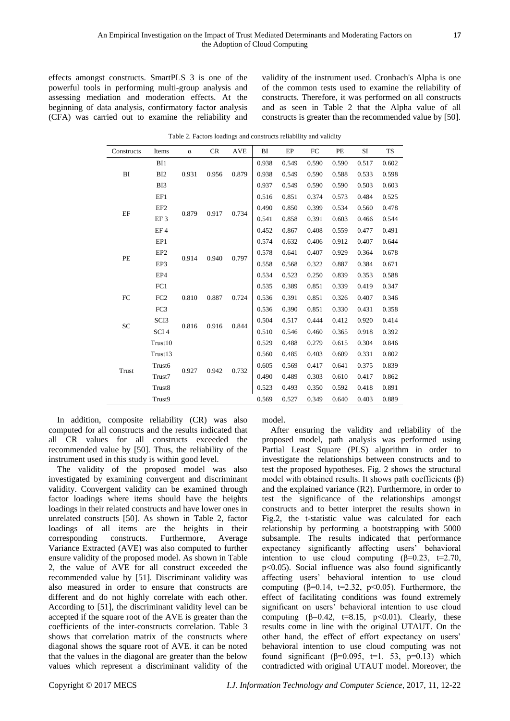effects amongst constructs. SmartPLS 3 is one of the powerful tools in performing multi-group analysis and assessing mediation and moderation effects. At the beginning of data analysis, confirmatory factor analysis (CFA) was carried out to examine the reliability and

validity of the instrument used. Cronbach's Alpha is one of the common tests used to examine the reliability of constructs. Therefore, it was performed on all constructs and as seen in Table 2 that the Alpha value of all constructs is greater than the recommended value by [50].

| Constructs   | Items            | $\alpha$ | CR    | <b>AVE</b> | BI    | EP    | FC    | PE    | SI    | <b>TS</b> |
|--------------|------------------|----------|-------|------------|-------|-------|-------|-------|-------|-----------|
|              | B <sub>11</sub>  |          |       |            | 0.938 | 0.549 | 0.590 | 0.590 | 0.517 | 0.602     |
| BI           | BI <sub>2</sub>  | 0.931    | 0.956 | 0.879      | 0.938 | 0.549 | 0.590 | 0.588 | 0.533 | 0.598     |
|              | BI3              |          |       |            | 0.937 | 0.549 | 0.590 | 0.590 | 0.503 | 0.603     |
|              | EF1              |          |       |            | 0.516 | 0.851 | 0.374 | 0.573 | 0.484 | 0.525     |
|              | EF <sub>2</sub>  |          |       |            | 0.490 | 0.850 | 0.399 | 0.534 | 0.560 | 0.478     |
| EF           | EF <sub>3</sub>  | 0.879    | 0.917 | 0.734      | 0.541 | 0.858 | 0.391 | 0.603 | 0.466 | 0.544     |
|              | EF4              |          |       |            | 0.452 | 0.867 | 0.408 | 0.559 | 0.477 | 0.491     |
|              | EP1              |          |       | 0.797      | 0.574 | 0.632 | 0.406 | 0.912 | 0.407 | 0.644     |
|              | EP <sub>2</sub>  |          |       |            | 0.578 | 0.641 | 0.407 | 0.929 | 0.364 | 0.678     |
| PE           | EP3              | 0.914    | 0.940 |            | 0.558 | 0.568 | 0.322 | 0.887 | 0.384 | 0.671     |
|              | EP4              |          |       |            | 0.534 | 0.523 | 0.250 | 0.839 | 0.353 | 0.588     |
|              | FC1              |          |       |            | 0.535 | 0.389 | 0.851 | 0.339 | 0.419 | 0.347     |
| FC           | FC <sub>2</sub>  | 0.810    | 0.887 | 0.724      | 0.536 | 0.391 | 0.851 | 0.326 | 0.407 | 0.346     |
|              | FC3              |          |       |            | 0.536 | 0.390 | 0.851 | 0.330 | 0.431 | 0.358     |
| <b>SC</b>    | SCI <sub>3</sub> |          | 0.916 | 0.844      | 0.504 | 0.517 | 0.444 | 0.412 | 0.920 | 0.414     |
|              | SCI <sub>4</sub> | 0.816    |       |            | 0.510 | 0.546 | 0.460 | 0.365 | 0.918 | 0.392     |
|              | Trust10          |          |       |            | 0.529 | 0.488 | 0.279 | 0.615 | 0.304 | 0.846     |
| <b>Trust</b> | Trust13          | 0.927    | 0.942 | 0.732      | 0.560 | 0.485 | 0.403 | 0.609 | 0.331 | 0.802     |
|              | Trust6           |          |       |            | 0.605 | 0.569 | 0.417 | 0.641 | 0.375 | 0.839     |
|              | Trust7           |          |       |            | 0.490 | 0.489 | 0.303 | 0.610 | 0.417 | 0.862     |
|              | Trust8           |          |       |            | 0.523 | 0.493 | 0.350 | 0.592 | 0.418 | 0.891     |
|              | Trust9           |          |       |            | 0.569 | 0.527 | 0.349 | 0.640 | 0.403 | 0.889     |

Table 2. Factors loadings and constructs reliability and validity

In addition, composite reliability (CR) was also computed for all constructs and the results indicated that all CR values for all constructs exceeded the recommended value by [50]. Thus, the reliability of the instrument used in this study is within good level.

The validity of the proposed model was also investigated by examining convergent and discriminant validity. Convergent validity can be examined through factor loadings where items should have the heights loadings in their related constructs and have lower ones in unrelated constructs [50]. As shown in Table 2, factor loadings of all items are the heights in their corresponding constructs. Furthermore, Average Variance Extracted (AVE) was also computed to further ensure validity of the proposed model. As shown in Table 2, the value of AVE for all construct exceeded the recommended value by [51]. Discriminant validity was also measured in order to ensure that constructs are different and do not highly correlate with each other. According to [51], the discriminant validity level can be accepted if the square root of the AVE is greater than the coefficients of the inter-constructs correlation. Table 3 shows that correlation matrix of the constructs where diagonal shows the square root of AVE. it can be noted that the values in the diagonal are greater than the below values which represent a discriminant validity of the

model.

After ensuring the validity and reliability of the proposed model, path analysis was performed using Partial Least Square (PLS) algorithm in order to investigate the relationships between constructs and to test the proposed hypotheses. Fig. 2 shows the structural model with obtained results. It shows path coefficients  $(\beta)$ and the explained variance (R2). Furthermore, in order to test the significance of the relationships amongst constructs and to better interpret the results shown in Fig.2, the t-statistic value was calculated for each relationship by performing a bootstrapping with 5000 subsample. The results indicated that performance expectancy significantly affecting users' behavioral intention to use cloud computing  $(\beta=0.23, t=2.70,$ p<0.05). Social influence was also found significantly affecting users' behavioral intention to use cloud computing ( $\beta$ =0.14, t=2.32, p<0.05). Furthermore, the effect of facilitating conditions was found extremely significant on users' behavioral intention to use cloud computing  $(\beta=0.42, t=8.15, p<0.01)$ . Clearly, these results come in line with the original UTAUT. On the other hand, the effect of effort expectancy on users' behavioral intention to use cloud computing was not found significant ( $β=0.095$ ,  $t=1.53$ ,  $p=0.13$ ) which contradicted with original UTAUT model. Moreover, the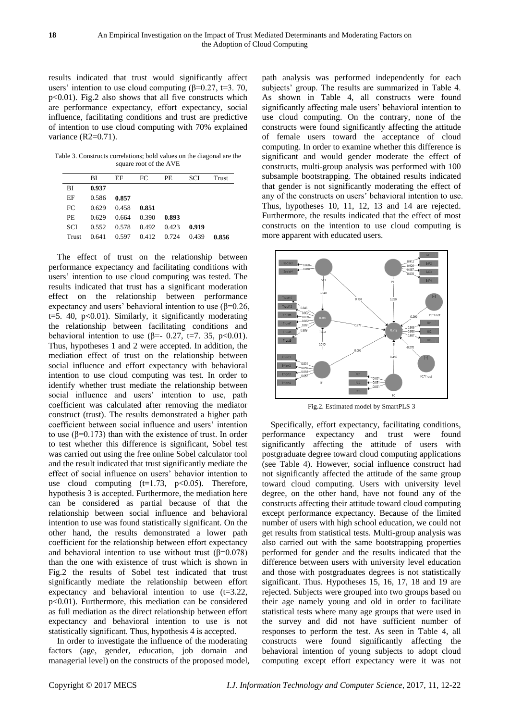results indicated that trust would significantly affect users' intention to use cloud computing ( $\beta$ =0.27, t=3. 70, p<0.01). Fig.2 also shows that all five constructs which are performance expectancy, effort expectancy, social influence, facilitating conditions and trust are predictive of intention to use cloud computing with 70% explained variance (R2=0.71).

Table 3. Constructs correlations; bold values on the diagonal are the square root of the AVE

|            | ВI    | EF    | FC    | PE    | <b>SCI</b> | Trust |
|------------|-------|-------|-------|-------|------------|-------|
| <b>BI</b>  | 0.937 |       |       |       |            |       |
| EF         | 0.586 | 0.857 |       |       |            |       |
| FC         | 0.629 | 0.458 | 0.851 |       |            |       |
| <b>PE</b>  | 0.629 | 0.664 | 0.390 | 0.893 |            |       |
| <b>SCI</b> | 0.552 | 0.578 | 0.492 | 0.423 | 0.919      |       |
| Trust      | 0.641 | 0.597 | 0.412 | 0.724 | 0.439      | 0.856 |

The effect of trust on the relationship between performance expectancy and facilitating conditions with users' intention to use cloud computing was tested. The results indicated that trust has a significant moderation effect on the relationship between performance expectancy and users' behavioral intention to use  $(\beta=0.26, \alpha)$ t=5. 40,  $p<0.01$ ). Similarly, it significantly moderating the relationship between facilitating conditions and behavioral intention to use ( $\beta$ =- 0.27, t=7. 35, p<0.01). Thus, hypotheses 1 and 2 were accepted. In addition, the mediation effect of trust on the relationship between social influence and effort expectancy with behavioral intention to use cloud computing was test. In order to identify whether trust mediate the relationship between social influence and users' intention to use, path coefficient was calculated after removing the mediator construct (trust). The results demonstrated a higher path coefficient between social influence and users' intention to use (β=0.173) than with the existence of trust. In order to test whether this difference is significant, Sobel test was carried out using the free online Sobel calculator tool and the result indicated that trust significantly mediate the effect of social influence on users' behavior intention to use cloud computing  $(t=1.73, p<0.05)$ . Therefore, hypothesis 3 is accepted. Furthermore, the mediation here can be considered as partial because of that the relationship between social influence and behavioral intention to use was found statistically significant. On the other hand, the results demonstrated a lower path coefficient for the relationship between effort expectancy and behavioral intention to use without trust  $(\beta=0.078)$ than the one with existence of trust which is shown in Fig.2 the results of Sobel test indicated that trust significantly mediate the relationship between effort expectancy and behavioral intention to use (t=3.22, p<0.01). Furthermore, this mediation can be considered as full mediation as the direct relationship between effort expectancy and behavioral intention to use is not statistically significant. Thus, hypothesis 4 is accepted.

In order to investigate the influence of the moderating factors (age, gender, education, job domain and managerial level) on the constructs of the proposed model, path analysis was performed independently for each subjects' group. The results are summarized in Table 4. As shown in Table 4, all constructs were found significantly affecting male users' behavioral intention to use cloud computing. On the contrary, none of the constructs were found significantly affecting the attitude of female users toward the acceptance of cloud computing. In order to examine whether this difference is significant and would gender moderate the effect of constructs, multi-group analysis was performed with 100 subsample bootstrapping. The obtained results indicated that gender is not significantly moderating the effect of any of the constructs on users' behavioral intention to use. Thus, hypotheses 10, 11, 12, 13 and 14 are rejected. Furthermore, the results indicated that the effect of most constructs on the intention to use cloud computing is more apparent with educated users.



Fig.2. Estimated model by SmartPLS 3

Specifically, effort expectancy, facilitating conditions, performance expectancy and trust were found significantly affecting the attitude of users with postgraduate degree toward cloud computing applications (see Table 4). However, social influence construct had not significantly affected the attitude of the same group toward cloud computing. Users with university level degree, on the other hand, have not found any of the constructs affecting their attitude toward cloud computing except performance expectancy. Because of the limited number of users with high school education, we could not get results from statistical tests. Multi-group analysis was also carried out with the same bootstrapping properties performed for gender and the results indicated that the difference between users with university level education and those with postgraduates degrees is not statistically significant. Thus. Hypotheses 15, 16, 17, 18 and 19 are rejected. Subjects were grouped into two groups based on their age namely young and old in order to facilitate statistical tests where many age groups that were used in the survey and did not have sufficient number of responses to perform the test. As seen in Table 4, all constructs were found significantly affecting the behavioral intention of young subjects to adopt cloud computing except effort expectancy were it was not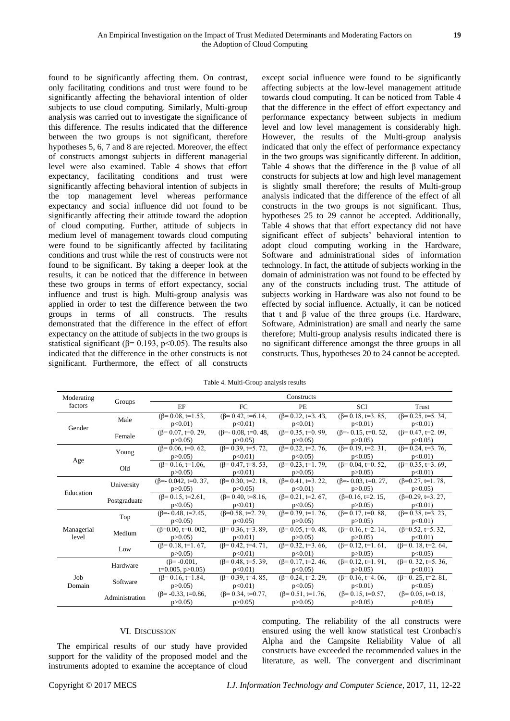found to be significantly affecting them. On contrast, only facilitating conditions and trust were found to be significantly affecting the behavioral intention of older subjects to use cloud computing. Similarly, Multi-group analysis was carried out to investigate the significance of this difference. The results indicated that the difference between the two groups is not significant, therefore hypotheses 5, 6, 7 and 8 are rejected. Moreover, the effect of constructs amongst subjects in different managerial level were also examined. Table 4 shows that effort expectancy, facilitating conditions and trust were significantly affecting behavioral intention of subjects in the top management level whereas performance expectancy and social influence did not found to be significantly affecting their attitude toward the adoption of cloud computing. Further, attitude of subjects in medium level of management towards cloud computing were found to be significantly affected by facilitating conditions and trust while the rest of constructs were not found to be significant. By taking a deeper look at the results, it can be noticed that the difference in between these two groups in terms of effort expectancy, social influence and trust is high. Multi-group analysis was applied in order to test the difference between the two groups in terms of all constructs. The results demonstrated that the difference in the effect of effort expectancy on the attitude of subjects in the two groups is statistical significant ( $\beta$ = 0.193, p<0.05). The results also indicated that the difference in the other constructs is not significant. Furthermore, the effect of all constructs

except social influence were found to be significantly affecting subjects at the low-level management attitude towards cloud computing. It can be noticed from Table 4 that the difference in the effect of effort expectancy and performance expectancy between subjects in medium level and low level management is considerably high. However, the results of the Multi-group analysis indicated that only the effect of performance expectancy in the two groups was significantly different. In addition, Table 4 shows that the difference in the β value of all constructs for subjects at low and high level management is slightly small therefore; the results of Multi-group analysis indicated that the difference of the effect of all constructs in the two groups is not significant. Thus, hypotheses 25 to 29 cannot be accepted. Additionally, Table 4 shows that that effort expectancy did not have significant effect of subjects' behavioral intention to adopt cloud computing working in the Hardware, Software and administrational sides of information technology. In fact, the attitude of subjects working in the domain of administration was not found to be effected by any of the constructs including trust. The attitude of subjects working in Hardware was also not found to be effected by social influence. Actually, it can be noticed that t and β value of the three groups (i.e. Hardware, Software, Administration) are small and nearly the same therefore; Multi-group analysis results indicated there is no significant difference amongst the three groups in all constructs. Thus, hypotheses 20 to 24 cannot be accepted.

| Table 4. Multi-Group analysis results |  |
|---------------------------------------|--|
|---------------------------------------|--|

| Moderating    |                | Constructs                  |                            |                           |                            |                            |  |  |
|---------------|----------------|-----------------------------|----------------------------|---------------------------|----------------------------|----------------------------|--|--|
| factors       | Groups         | EF                          | FC                         | <b>PE</b>                 | <b>SCI</b>                 | Trust                      |  |  |
| Gender        | Male           | $(\beta = 0.08, t=1.53,$    | $(\beta = 0.42, t = 6.14)$ | $(\beta = 0.22, t=3.43,$  | $(\beta = 0.18, t=3.85)$   | $(\beta = 0.25, t=5.34,$   |  |  |
|               |                | $p<0.01$ )                  | $p<0.01$ )                 | $p<0.01$ )                | $p<0.01$ )                 | $p<0.01$ )                 |  |  |
|               | Female         | $(\beta = 0.07, t=0.29,$    | $(\beta = 0.08, t = 0.48,$ | $(\beta = 0.35, t=0.99)$  | $(\beta = 0.15, t = 0.52,$ | $(\beta = 0.47, t=2.09,$   |  |  |
|               |                | p > 0.05                    | p > 0.05                   | p > 0.05                  | p > 0.05                   | p > 0.05                   |  |  |
|               | Young          | $(\beta = 0.06, t=0.62)$    | $(\beta = 0.39, t=5.72)$   | $(\beta = 0.22, t=2, 76,$ | $(\beta = 0.19, t=2.31)$   | $(\beta = 0.24, t=3.76,$   |  |  |
| Age           |                | p > 0.05                    | $p<0.01$ )                 | $p<0.05$ )                | $p<0.05$ )                 | $p<0.01$ )                 |  |  |
|               | Old            | $(\beta = 0.16, t=1.06)$    | $(\beta = 0.47, t=8.53)$   | $(\beta = 0.23, t=1.79,$  | $(\beta = 0.04, t=0.52,$   | $(\beta = 0.35, t=3.69)$   |  |  |
|               |                | p > 0.05                    | $p<0.01$ )                 | p > 0.05                  | p > 0.05                   | p<0.01                     |  |  |
|               | University     | $(\beta = 0.042, t = 0.37,$ | $(\beta = 0.30, t=2.18,$   | $(\beta = 0.41, t=3, 22)$ | $(\beta = 0.03, t = 0.27,$ | $(\beta=0.27, t=1.78)$     |  |  |
| Education     |                | p > 0.05                    | p > 0.05                   | $p<0.01$ )                | p > 0.05                   | p > 0.05                   |  |  |
|               | Postgraduate   | $(\beta = 0.15, t=2.61,$    | $(\beta = 0.40, t = 8.16)$ | $(\beta = 0.21, t=2.67)$  | $(\beta=0.16, t=2.15,$     | $(\beta=0.29, t=3.27,$     |  |  |
|               |                | p<0.05                      | $p<0.01$ )                 | $p<0.05$ )                | p > 0.05                   | $p<0.01$ )                 |  |  |
|               | Top            | $(\beta = -0.48, t = 2.45)$ | $(\beta=0.58, t=2.29,$     | $(\beta = 0.39, t=1.26,$  | $(\beta = 0.17, t=0.88,$   | $(\beta = 0.38, t=3.23)$   |  |  |
|               |                | $p<0.05$ )                  | $p<0.05$ )                 | p > 0.05                  | p > 0.05                   | $p<0.01$ )                 |  |  |
| Managerial    | Medium         | $(\beta=0.00, t=0.002,$     | $(\beta = 0.36, t=3.89)$   | $(\beta = 0.05, t=0.48,$  | $(\beta = 0.16, t=2.14,$   | $(\beta=0.52, t=5.32,$     |  |  |
| level         |                | p > 0.05                    | $p<0.01$ )                 | p > 0.05                  | p > 0.05                   | p<0.01                     |  |  |
|               | Low            | $(\beta = 0.18, t=1.67,$    | $(\beta = 0.42, t=4.71,$   | $(\beta = 0.32, t=3.66,$  | $(\beta = 0.12, t=1.61)$   | $(\beta = 0.18, t=2.64)$   |  |  |
|               |                | p > 0.05                    | $p<0.01$ )                 | $p<0.01$ )                | p > 0.05                   | $p<0.05$ )                 |  |  |
| Job<br>Domain | Hardware       | $(\beta = -0.001,$          | $(\beta = 0.48, t=5.39)$   | $(\beta = 0.17, t=2.46,$  | $(\beta = 0.12, t=1.91,$   | $(\beta=0.32, t=5.36,$     |  |  |
|               |                | $t=0.005$ , $p>0.05$ )      | $p<0.01$ )                 | $p<0.05$ )                | p > 0.05                   | $p<0.01$ )                 |  |  |
|               | Software       | $(\beta = 0.16, t=1.84,$    | $(\beta = 0.39, t=4.85)$   | $(\beta = 0.24, t=2.29,$  | $(\beta = 0.16, t=4.06)$   | $(\beta = 0, 25, t=2, 81,$ |  |  |
|               |                | p > 0.05                    | $p<0.01$ )                 | $p<0.05$ )                | $p<0.01$ )                 | $p<0.05$ )                 |  |  |
|               | Administration | $(\beta$ = -0.33, t=0.86,   | $(\beta = 0.34, t = 0.77)$ | $(\beta = 0.51, t=1.76,$  | $(\beta = 0.15, t=0.57,$   | $(\beta = 0.05, t = 0.18,$ |  |  |
|               |                | p > 0.05                    | p > 0.05                   | p > 0.05                  | p > 0.05                   | p > 0.05                   |  |  |

### VI. DISCUSSION

The empirical results of our study have provided support for the validity of the proposed model and the instruments adopted to examine the acceptance of cloud computing. The reliability of the all constructs were ensured using the well know statistical test Cronbach's Alpha and the Campsite Reliability Value of all constructs have exceeded the recommended values in the literature, as well. The convergent and discriminant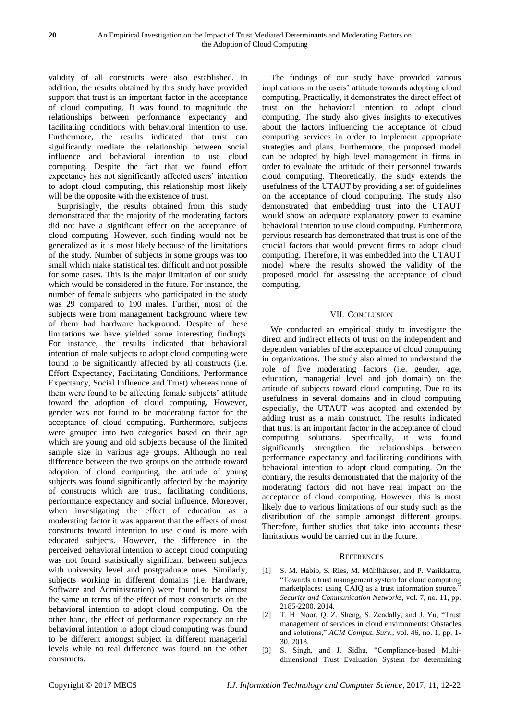validity of all constructs were also established. In addition, the results obtained by this study have provided support that trust is an important factor in the acceptance of cloud computing. It was found to magnitude the relationships between performance expectancy and facilitating conditions with behavioral intention to use. Furthermore, the results indicated that trust can significantly mediate the relationship between social influence and behavioral intention to use cloud computing. Despite the fact that we found effort expectancy has not significantly affected users' intention to adopt cloud computing, this relationship most likely will be the opposite with the existence of trust.

Surprisingly, the results obtained from this study demonstrated that the majority of the moderating factors did not have a significant effect on the acceptance of cloud computing. However, such finding would not be generalized as it is most likely because of the limitations of the study. Number of subjects in some groups was too small which make statistical test difficult and not possible for some cases. This is the major limitation of our study which would be considered in the future. For instance, the number of female subjects who participated in the study was 29 compared to 190 males. Further, most of the subjects were from management background where few of them had hardware background. Despite of these limitations we have yielded some interesting findings. For instance, the results indicated that behavioral intention of male subjects to adopt cloud computing were found to be significantly affected by all constructs (i.e. Effort Expectancy, Facilitating Conditions, Performance Expectancy, Social Influence and Trust) whereas none of them were found to be affecting female subjects' attitude toward the adoption of cloud computing. However, gender was not found to be moderating factor for the acceptance of cloud computing. Furthermore, subjects were grouped into two categories based on their age which are young and old subjects because of the limited sample size in various age groups. Although no real difference between the two groups on the attitude toward adoption of cloud computing, the attitude of young subjects was found significantly affected by the majority of constructs which are trust, facilitating conditions, performance expectancy and social influence. Moreover, when investigating the effect of education as a moderating factor it was apparent that the effects of most constructs toward intention to use cloud is more with educated subjects. However, the difference in the perceived behavioral intention to accept cloud computing was not found statistically significant between subjects with university level and postgraduate ones. Similarly, subjects working in different domains (i.e. Hardware, Software and Administration) were found to be almost the same in terms of the effect of most constructs on the behavioral intention to adopt cloud computing. On the other hand, the effect of performance expectancy on the behavioral intention to adopt cloud computing was found to be different amongst subject in different managerial levels while no real difference was found on the other constructs.

The findings of our study have provided various implications in the users' attitude towards adopting cloud computing. Practically, it demonstrates the direct effect of trust on the behavioral intention to adopt cloud computing. The study also gives insights to executives about the factors influencing the acceptance of cloud computing services in order to implement appropriate strategies and plans. Furthermore, the proposed model can be adopted by high level management in firms in order to evaluate the attitude of their personnel towards cloud computing. Theoretically, the study extends the usefulness of the UTAUT by providing a set of guidelines on the acceptance of cloud computing. The study also demonstrated that embedding trust into the UTAUT would show an adequate explanatory power to examine behavioral intention to use cloud computing. Furthermore, pervious research has demonstrated that trust is one of the crucial factors that would prevent firms to adopt cloud computing. Therefore, it was embedded into the UTAUT model where the results showed the validity of the proposed model for assessing the acceptance of cloud computing.

#### VII. CONCLUSION

We conducted an empirical study to investigate the direct and indirect effects of trust on the independent and dependent variables of the acceptance of cloud computing in organizations. The study also aimed to understand the role of five moderating factors (i.e. gender, age, education, managerial level and job domain) on the attitude of subjects toward cloud computing. Due to its usefulness in several domains and in cloud computing especially, the UTAUT was adopted and extended by adding trust as a main construct. The results indicated that trust is an important factor in the acceptance of cloud computing solutions. Specifically, it was found significantly strengthen the relationships between performance expectancy and facilitating conditions with behavioral intention to adopt cloud computing. On the contrary, the results demonstrated that the majority of the moderating factors did not have real impact on the acceptance of cloud computing. However, this is most likely due to various limitations of our study such as the distribution of the sample amongst different groups. Therefore, further studies that take into accounts these limitations would be carried out in the future.

#### **REFERENCES**

- [1] S. M. Habib, S. Ries, M. Mühlhäuser, and P. Varikkattu, "Towards a trust management system for cloud computing marketplaces: using CAIQ as a trust information source," *Security and Communication Networks,* vol. 7, no. 11, pp. 2185-2200, 2014.
- [2] T. H. Noor, Q. Z. Sheng, S. Zeadally, and J. Yu, "Trust management of services in cloud environments: Obstacles and solutions," *ACM Comput. Surv.,* vol. 46, no. 1, pp. 1- 30, 2013.
- [3] S. Singh, and J. Sidhu, "Compliance-based Multidimensional Trust Evaluation System for determining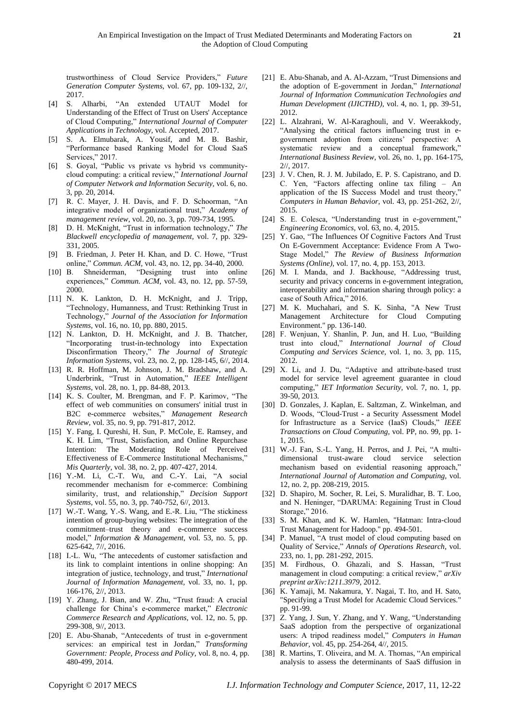trustworthiness of Cloud Service Providers," *Future Generation Computer Systems,* vol. 67, pp. 109-132, 2//, 2017.

- [4] S. Alharbi, "An extended UTAUT Model for Understanding of the Effect of Trust on Users' Acceptance of Cloud Computing," *International Journal of Computer Applications in Technology,* vol. Accepted, 2017.
- [5] S. A. Elmubarak, A. Yousif, and M. B. Bashir, "Performance based Ranking Model for Cloud SaaS Services," 2017.
- [6] S. Goyal, "Public vs private vs hybrid vs communitycloud computing: a critical review," *International Journal of Computer Network and Information Security,* vol. 6, no. 3, pp. 20, 2014.
- [7] R. C. Mayer, J. H. Davis, and F. D. Schoorman, "An integrative model of organizational trust," *Academy of management review,* vol. 20, no. 3, pp. 709-734, 1995.
- [8] D. H. McKnight, "Trust in information technology," *The Blackwell encyclopedia of management,* vol. 7, pp. 329- 331, 2005.
- [9] B. Friedman, J. Peter H. Khan, and D. C. Howe, "Trust online," *Commun. ACM,* vol. 43, no. 12, pp. 34-40, 2000.
- [10] B. Shneiderman, "Designing trust into online experiences," *Commun. ACM,* vol. 43, no. 12, pp. 57-59, 2000.
- [11] N. K. Lankton, D. H. McKnight, and J. Tripp, "Technology, Humanness, and Trust: Rethinking Trust in Technology," *Journal of the Association for Information Systems,* vol. 16, no. 10, pp. 880, 2015.
- [12] N. Lankton, D. H. McKnight, and J. B. Thatcher, "Incorporating trust-in-technology into Expectation Disconfirmation Theory," *The Journal of Strategic Information Systems,* vol. 23, no. 2, pp. 128-145, 6//, 2014.
- [13] R. R. Hoffman, M. Johnson, J. M. Bradshaw, and A. Underbrink, "Trust in Automation," *IEEE Intelligent Systems,* vol. 28, no. 1, pp. 84-88, 2013.
- [14] K. S. Coulter, M. Brengman, and F. P. Karimov, "The effect of web communities on consumers' initial trust in B2C e-commerce websites," *Management Research Review,* vol. 35, no. 9, pp. 791-817, 2012.
- [15] Y. Fang, I. Qureshi, H. Sun, P. McCole, E. Ramsey, and K. H. Lim, "Trust, Satisfaction, and Online Repurchase Intention: The Moderating Role of Perceived Effectiveness of E-Commerce Institutional Mechanisms," *Mis Quarterly,* vol. 38, no. 2, pp. 407-427, 2014.
- [16] Y.-M. Li, C.-T. Wu, and C.-Y. Lai, "A social recommender mechanism for e-commerce: Combining similarity, trust, and relationship," *Decision Support Systems,* vol. 55, no. 3, pp. 740-752, 6//, 2013.
- [17] W.-T. Wang, Y.-S. Wang, and E.-R. Liu, "The stickiness" intention of group-buying websites: The integration of the commitment–trust theory and e-commerce success model," *Information & Management,* vol. 53, no. 5, pp. 625-642, 7//, 2016.
- [18] I.-L. Wu, "The antecedents of customer satisfaction and its link to complaint intentions in online shopping: An integration of justice, technology, and trust," *International Journal of Information Management,* vol. 33, no. 1, pp. 166-176, 2//, 2013.
- [19] Y. Zhang, J. Bian, and W. Zhu, "Trust fraud: A crucial challenge for China's e-commerce market," *Electronic Commerce Research and Applications,* vol. 12, no. 5, pp. 299-308, 9//, 2013.
- [20] E. Abu-Shanab, "Antecedents of trust in e-government services: an empirical test in Jordan," *Transforming Government: People, Process and Policy,* vol. 8, no. 4, pp. 480-499, 2014.
- [21] E. Abu-Shanab, and A. Al-Azzam, "Trust Dimensions and the adoption of E-government in Jordan," *International Journal of Information Communication Technologies and Human Development (IJICTHD),* vol. 4, no. 1, pp. 39-51, 2012.
- [22] L. Alzahrani, W. Al-Karaghouli, and V. Weerakkody, "Analysing the critical factors influencing trust in egovernment adoption from citizens' perspective: A systematic review and a conceptual framework," *International Business Review,* vol. 26, no. 1, pp. 164-175, 2//, 2017.
- [23] J. V. Chen, R. J. M. Jubilado, E. P. S. Capistrano, and D. C. Yen, "Factors affecting online tax filing – An application of the IS Success Model and trust theory," *Computers in Human Behavior,* vol. 43, pp. 251-262, 2//, 2015.
- [24] S. E. Colesca, "Understanding trust in e-government," *Engineering Economics,* vol. 63, no. 4, 2015.
- [25] Y. Gao, "The Influences Of Cognitive Factors And Trust On E-Government Acceptance: Evidence From A Two-Stage Model," *The Review of Business Information Systems (Online),* vol. 17, no. 4, pp. 153, 2013.
- [26] M. I. Manda, and J. Backhouse, "Addressing trust, security and privacy concerns in e-government integration, interoperability and information sharing through policy: a case of South Africa," 2016.
- [27] M. K. Muchahari, and S. K. Sinha, "A New Trust Management Architecture for Cloud Computing Environment." pp. 136-140.
- [28] F. Wenjuan, Y. Shanlin, P. Jun, and H. Luo, "Building trust into cloud," *International Journal of Cloud Computing and Services Science,* vol. 1, no. 3, pp. 115, 2012.
- [29] X. Li, and J. Du, "Adaptive and attribute-based trust model for service level agreement guarantee in cloud computing," *IET Information Security,* vol. 7, no. 1, pp. 39-50, 2013.
- [30] D. Gonzales, J. Kaplan, E. Saltzman, Z. Winkelman, and D. Woods, "Cloud-Trust - a Security Assessment Model for Infrastructure as a Service (IaaS) Clouds," *IEEE Transactions on Cloud Computing,* vol. PP, no. 99, pp. 1- 1, 2015.
- [31] W.-J. Fan, S.-L. Yang, H. Perros, and J. Pei, "A multidimensional trust-aware cloud service selection mechanism based on evidential reasoning approach," *International Journal of Automation and Computing,* vol. 12, no. 2, pp. 208-219, 2015.
- [32] D. Shapiro, M. Socher, R. Lei, S. Muralidhar, B. T. Loo, and N. Heninger, "DARUMA: Regaining Trust in Cloud Storage," 2016.
- [33] S. M. Khan, and K. W. Hamlen, "Hatman: Intra-cloud Trust Management for Hadoop." pp. 494-501.
- [34] P. Manuel, "A trust model of cloud computing based on Quality of Service," *Annals of Operations Research,* vol. 233, no. 1, pp. 281-292, 2015.
- [35] M. Firdhous, O. Ghazali, and S. Hassan, "Trust management in cloud computing: a critical review," *arXiv preprint arXiv:1211.3979*, 2012.
- [36] K. Yamaji, M. Nakamura, Y. Nagai, T. Ito, and H. Sato, "Specifying a Trust Model for Academic Cloud Services." pp. 91-99.
- [37] Z. Yang, J. Sun, Y. Zhang, and Y. Wang, "Understanding SaaS adoption from the perspective of organizational users: A tripod readiness model," *Computers in Human Behavior,* vol. 45, pp. 254-264, 4//, 2015.
- [38] R. Martins, T. Oliveira, and M. A. Thomas, "An empirical analysis to assess the determinants of SaaS diffusion in